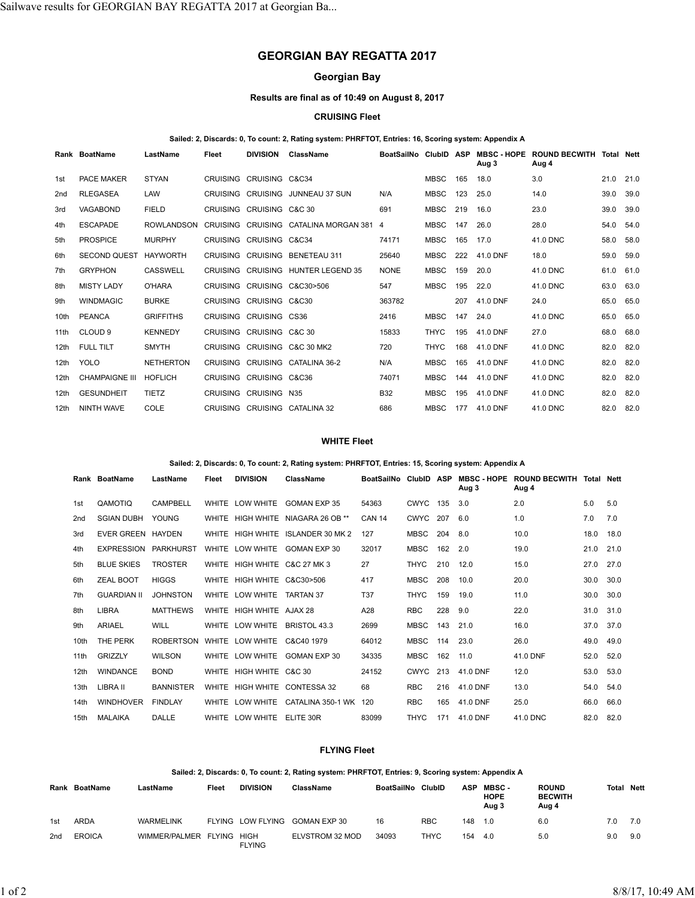# **GEORGIAN BAY REGATTA 2017**

# **Georgian Bay**

## **Results are final as of 10:49 on August 8, 2017**

## **CRUISING Fleet**

## **Sailed: 2, Discards: 0, To count: 2, Rating system: PHRFTOT, Entries: 16, Scoring system: Appendix A**

|                  | Rank BoatName         | LastName          | Fleet           | <b>DIVISION</b>          | ClassName                             | BoatSailNo  | <b>ClubID</b> | <b>ASP</b> | <b>MBSC - HOPE</b><br>Aug 3 | <b>ROUND BECWITH</b><br>Aug 4 | Total | Nett |
|------------------|-----------------------|-------------------|-----------------|--------------------------|---------------------------------------|-------------|---------------|------------|-----------------------------|-------------------------------|-------|------|
| 1st              | PACE MAKER            | <b>STYAN</b>      |                 | CRUISING CRUISING C&C34  |                                       |             | <b>MBSC</b>   | 165        | 18.0                        | 3.0                           | 21.0  | 21.0 |
| 2 <sub>nd</sub>  | <b>RLEGASEA</b>       | LAW               | <b>CRUISING</b> | <b>CRUISING</b>          | JUNNEAU 37 SUN                        | N/A         | <b>MBSC</b>   | 123        | 25.0                        | 14.0                          | 39.0  | 39.0 |
| 3rd              | <b>VAGABOND</b>       | <b>FIELD</b>      |                 | CRUISING CRUISING C&C 30 |                                       | 691         | <b>MBSC</b>   | 219        | 16.0                        | 23.0                          | 39.0  | 39.0 |
| 4th              | <b>ESCAPADE</b>       | <b>ROWLANDSON</b> |                 |                          | CRUISING CRUISING CATALINA MORGAN 381 | 4           | <b>MBSC</b>   | 147        | 26.0                        | 28.0                          | 54.0  | 54.0 |
| 5th              | <b>PROSPICE</b>       | <b>MURPHY</b>     |                 | CRUISING CRUISING C&C34  |                                       | 74171       | <b>MBSC</b>   | 165        | 17.0                        | 41.0 DNC                      | 58.0  | 58.0 |
| 6th              | <b>SECOND QUEST</b>   | <b>HAYWORTH</b>   |                 |                          | CRUISING CRUISING BENETEAU 311        | 25640       | <b>MBSC</b>   | 222        | 41.0 DNF                    | 18.0                          | 59.0  | 59.0 |
| 7th              | <b>GRYPHON</b>        | <b>CASSWELL</b>   |                 |                          | CRUISING CRUISING HUNTER LEGEND 35    | <b>NONE</b> | <b>MBSC</b>   | 159        | 20.0                        | 41.0 DNC                      | 61.0  | 61.0 |
| 8th              | <b>MISTY LADY</b>     | O'HARA            |                 |                          | CRUISING CRUISING C&C30>506           | 547         | <b>MBSC</b>   | 195        | 22.0                        | 41.0 DNC                      | 63.0  | 63.0 |
| 9 <sub>th</sub>  | <b>WINDMAGIC</b>      | <b>BURKE</b>      |                 | CRUISING CRUISING C&C30  |                                       | 363782      |               | 207        | 41.0 DNF                    | 24.0                          | 65.0  | 65.0 |
| 10th             | <b>PEANCA</b>         | <b>GRIFFITHS</b>  |                 | CRUISING CRUISING CS36   |                                       | 2416        | <b>MBSC</b>   | 147        | 24.0                        | 41.0 DNC                      | 65.0  | 65.0 |
| 11 <sup>th</sup> | CLOUD <sub>9</sub>    | <b>KENNEDY</b>    |                 | CRUISING CRUISING C&C 30 |                                       | 15833       | <b>THYC</b>   | 195        | 41.0 DNF                    | 27.0                          | 68.0  | 68.0 |
| 12th             | FULL TILT             | <b>SMYTH</b>      |                 |                          | CRUISING CRUISING C&C 30 MK2          | 720         | <b>THYC</b>   | 168        | 41.0 DNF                    | 41.0 DNC                      | 82.0  | 82.0 |
| 12 <sub>th</sub> | <b>YOLO</b>           | <b>NETHERTON</b>  | <b>CRUISING</b> |                          | CRUISING CATALINA 36-2                | N/A         | <b>MBSC</b>   | 165        | 41.0 DNF                    | 41.0 DNC                      | 82.0  | 82.0 |
| 12th             | <b>CHAMPAIGNE III</b> | <b>HOFLICH</b>    |                 | CRUISING CRUISING C&C36  |                                       | 74071       | <b>MBSC</b>   | 144        | 41.0 DNF                    | 41.0 DNC                      | 82.0  | 82.0 |
| 12th             | <b>GESUNDHEIT</b>     | <b>TIETZ</b>      |                 | CRUISING CRUISING N35    |                                       | <b>B32</b>  | <b>MBSC</b>   | 195        | 41.0 DNF                    | 41.0 DNC                      | 82.0  | 82.0 |
| 12th             | NINTH WAVE            | COLE              |                 |                          | CRUISING CRUISING CATALINA 32         | 686         | <b>MBSC</b>   | 177        | 41.0 DNF                    | 41.0 DNC                      | 82.0  | 82.0 |

## **WHITE Fleet**

#### **Sailed: 2, Discards: 0, To count: 2, Rating system: PHRFTOT, Entries: 15, Scoring system: Appendix A**

| Rank             | <b>BoatName</b>    | LastName         | Fleet | <b>DIVISION</b>              | <b>ClassName</b>                  | BoatSailNo    | ClubID      | <b>ASP</b> | <b>MBSC - HOPE</b><br>Aug 3 | <b>ROUND BECWITH</b><br>Aug 4 | Total | Nett |
|------------------|--------------------|------------------|-------|------------------------------|-----------------------------------|---------------|-------------|------------|-----------------------------|-------------------------------|-------|------|
| 1st              | QAMOTIQ            | <b>CAMPBELL</b>  |       | WHITE LOW WHITE              | <b>GOMAN EXP 35</b>               | 54363         | CWYC        | 135        | 3.0                         | 2.0                           | 5.0   | 5.0  |
| 2nd              | <b>SGIAN DUBH</b>  | <b>YOUNG</b>     | WHITE | HIGH WHITE                   | NIAGARA 26 OB **                  | <b>CAN 14</b> | <b>CWYC</b> | 207        | 6.0                         | 1.0                           | 7.0   | 7.0  |
| 3rd              | <b>EVER GREEN</b>  | HAYDEN           |       |                              | WHITE HIGH WHITE ISLANDER 30 MK 2 | 127           | MBSC        | 204        | 8.0                         | 10.0                          | 18.0  | 18.0 |
| 4th              | <b>EXPRESSION</b>  | <b>PARKHURST</b> |       | WHITE LOW WHITE              | GOMAN EXP 30                      | 32017         | <b>MBSC</b> | 162        | 2.0                         | 19.0                          | 21.0  | 21.0 |
| 5th              | <b>BLUE SKIES</b>  | <b>TROSTER</b>   |       | WHITE HIGH WHITE C&C 27 MK 3 |                                   | 27            | <b>THYC</b> | 210        | 12.0                        | 15.0                          | 27.0  | 27.0 |
| 6th              | <b>ZEAL BOOT</b>   | <b>HIGGS</b>     |       | WHITE HIGH WHITE C&C30>506   |                                   | 417           | MBSC        | 208        | 10.0                        | 20.0                          | 30.0  | 30.0 |
| 7th              | <b>GUARDIAN II</b> | <b>JOHNSTON</b>  |       | WHITE LOW WHITE              | <b>TARTAN 37</b>                  | <b>T37</b>    | THYC        | 159        | 19.0                        | 11.0                          | 30.0  | 30.0 |
| 8th              | <b>LIBRA</b>       | <b>MATTHEWS</b>  |       | WHITE HIGH WHITE AJAX 28     |                                   | A28           | <b>RBC</b>  | 228        | 9.0                         | 22.0                          | 31.0  | 31.0 |
| 9th              | <b>ARIAEL</b>      | WILL             |       | WHITE LOW WHITE              | BRISTOL 43.3                      | 2699          | MBSC        | 143        | 21.0                        | 16.0                          | 37.0  | 37.0 |
| 10th             | THE PERK           | <b>ROBERTSON</b> |       | WHITE LOW WHITE              | C&C40 1979                        | 64012         | MBSC        | 114        | 23.0                        | 26.0                          | 49.0  | 49.0 |
| 11 <sup>th</sup> | <b>GRIZZLY</b>     | <b>WILSON</b>    |       | WHITE LOW WHITE              | GOMAN EXP 30                      | 34335         | <b>MBSC</b> | 162        | 11.0                        | 41.0 DNF                      | 52.0  | 52.0 |
| 12 <sub>th</sub> | <b>WINDANCE</b>    | <b>BOND</b>      |       | WHITE HIGH WHITE C&C 30      |                                   | 24152         | <b>CWYC</b> | 213        | 41.0 DNF                    | 12.0                          | 53.0  | 53.0 |
| 13th             | LIBRA II           | <b>BANNISTER</b> |       | WHITE HIGH WHITE             | CONTESSA 32                       | 68            | <b>RBC</b>  | 216        | 41.0 DNF                    | 13.0                          | 54.0  | 54.0 |
| 14th             | <b>WINDHOVER</b>   | <b>FINDLAY</b>   | WHITE | LOW WHITE                    | CATALINA 350-1 WK                 | 120           | <b>RBC</b>  | 165        | 41.0 DNF                    | 25.0                          | 66.0  | 66.0 |
| 15th             | <b>MALAIKA</b>     | DALLE            |       | WHITE LOW WHITE              | ELITE 30R                         | 83099         | THYC        | 171        | 41.0 DNF                    | 41.0 DNC                      | 82.0  | 82.0 |

# **FLYING Fleet**

### **Sailed: 2, Discards: 0, To count: 2, Rating system: PHRFTOT, Entries: 9, Scoring system: Appendix A**

| Rank | BoatName      | LastName             | Fleet | <b>DIVISION</b>              | ClassName       | <b>BoatSailNo</b> | <b>ClubID</b> | ASP | <b>MBSC-</b><br><b>HOPE</b><br>Aug 3 | <b>ROUND</b><br><b>BECWITH</b><br>Aug 4 | Total | Nett |
|------|---------------|----------------------|-------|------------------------------|-----------------|-------------------|---------------|-----|--------------------------------------|-----------------------------------------|-------|------|
| 1st  | <b>ARDA</b>   | <b>WARMELINK</b>     |       | FLYING LOW FLYING            | GOMAN EXP 30    | 16                | <b>RBC</b>    | 148 | 1.0                                  | 6.0                                     | 7.0   | 7.0  |
| 2nd  | <b>EROICA</b> | WIMMER/PALMER FLYING |       | <b>HIGH</b><br><b>FLYING</b> | ELVSTROM 32 MOD | 34093             | <b>THYC</b>   | 154 | 4.0                                  | 5.0                                     | 9.0   | 9.0  |